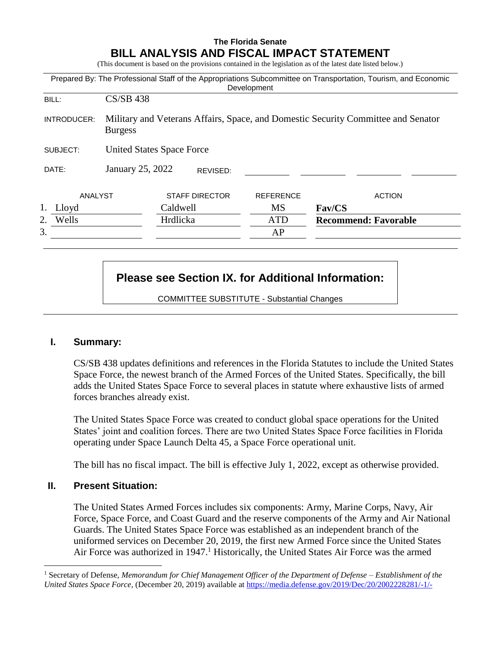# **The Florida Senate BILL ANALYSIS AND FISCAL IMPACT STATEMENT**

(This document is based on the provisions contained in the legislation as of the latest date listed below.)

|             |                                                                                                     |                       | Development      | Prepared By: The Professional Staff of the Appropriations Subcommittee on Transportation, Tourism, and Economic |  |  |
|-------------|-----------------------------------------------------------------------------------------------------|-----------------------|------------------|-----------------------------------------------------------------------------------------------------------------|--|--|
| BILL:       | <b>CS/SB 438</b>                                                                                    |                       |                  |                                                                                                                 |  |  |
| INTRODUCER: | Military and Veterans Affairs, Space, and Domestic Security Committee and Senator<br><b>Burgess</b> |                       |                  |                                                                                                                 |  |  |
| SUBJECT:    | <b>United States Space Force</b>                                                                    |                       |                  |                                                                                                                 |  |  |
| DATE:       | January 25, 2022                                                                                    | REVISED:              |                  |                                                                                                                 |  |  |
| ANALYST     |                                                                                                     | <b>STAFF DIRECTOR</b> | <b>REFERENCE</b> | <b>ACTION</b>                                                                                                   |  |  |
| 1. Lloyd    |                                                                                                     | Caldwell              | <b>MS</b>        | Fav/CS                                                                                                          |  |  |
| Wells<br>2. |                                                                                                     | Hrdlicka              | <b>ATD</b>       | <b>Recommend: Favorable</b>                                                                                     |  |  |
| 3.          |                                                                                                     |                       | AP               |                                                                                                                 |  |  |

# **Please see Section IX. for Additional Information:**

COMMITTEE SUBSTITUTE - Substantial Changes

# **I. Summary:**

CS/SB 438 updates definitions and references in the Florida Statutes to include the United States Space Force, the newest branch of the Armed Forces of the United States. Specifically, the bill adds the United States Space Force to several places in statute where exhaustive lists of armed forces branches already exist.

The United States Space Force was created to conduct global space operations for the United States' joint and coalition forces. There are two United States Space Force facilities in Florida operating under Space Launch Delta 45, a Space Force operational unit.

The bill has no fiscal impact. The bill is effective July 1, 2022, except as otherwise provided.

# **II. Present Situation:**

 $\overline{a}$ 

The United States Armed Forces includes six components: Army, Marine Corps, Navy, Air Force, Space Force, and Coast Guard and the reserve components of the Army and Air National Guards. The United States Space Force was established as an independent branch of the uniformed services on December 20, 2019, the first new Armed Force since the United States Air Force was authorized in  $1947<sup>1</sup>$  Historically, the United States Air Force was the armed

<sup>1</sup> Secretary of Defense, *Memorandum for Chief Management Officer of the Department of Defense* – *Establishment of the United States Space Force*, (December 20, 2019) available at [https://media.defense.gov/2019/Dec/20/2002228281/-1/-](https://media.defense.gov/2019/Dec/20/2002228281/-1/-1/1/ESTABLISHMENT-OF-THE-UNITED-STATES-SPACE-FORCE.PDF)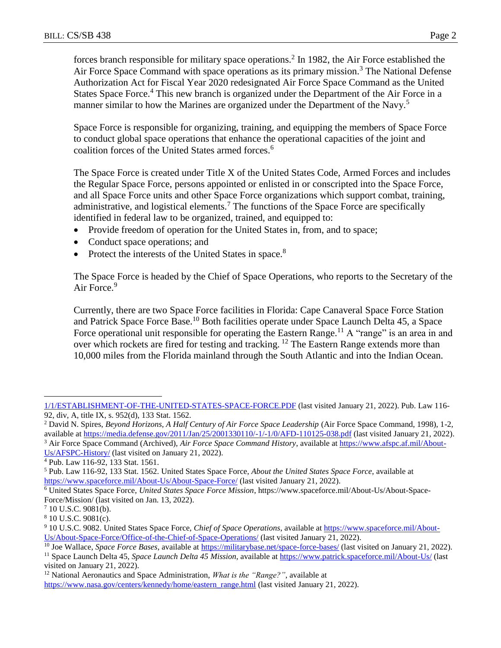forces branch responsible for military space operations.<sup>2</sup> In 1982, the Air Force established the Air Force Space Command with space operations as its primary mission.<sup>3</sup> The National Defense Authorization Act for Fiscal Year 2020 redesignated Air Force Space Command as the United States Space Force.<sup>4</sup> This new branch is organized under the Department of the Air Force in a manner similar to how the Marines are organized under the Department of the Navy.<sup>5</sup>

Space Force is responsible for organizing, training, and equipping the members of Space Force to conduct global space operations that enhance the operational capacities of the joint and coalition forces of the United States armed forces.<sup>6</sup>

The Space Force is created under Title X of the United States Code, Armed Forces and includes the Regular Space Force, persons appointed or enlisted in or conscripted into the Space Force, and all Space Force units and other Space Force organizations which support combat, training, administrative, and logistical elements.<sup>7</sup> The functions of the Space Force are specifically identified in federal law to be organized, trained, and equipped to:

- Provide freedom of operation for the United States in, from, and to space;
- Conduct space operations; and
- Protect the interests of the United States in space.<sup>8</sup>

The Space Force is headed by the Chief of Space Operations, who reports to the Secretary of the Air Force.<sup>9</sup>

Currently, there are two Space Force facilities in Florida: Cape Canaveral Space Force Station and Patrick Space Force Base.<sup>10</sup> Both facilities operate under Space Launch Delta 45, a Space Force operational unit responsible for operating the Eastern Range.<sup>11</sup> A "range" is an area in and over which rockets are fired for testing and tracking. <sup>12</sup> The Eastern Range extends more than 10,000 miles from the Florida mainland through the South Atlantic and into the Indian Ocean.

 $\overline{a}$ 

[<sup>1/1/</sup>ESTABLISHMENT-OF-THE-UNITED-STATES-SPACE-FORCE.PDF](https://media.defense.gov/2019/Dec/20/2002228281/-1/-1/1/ESTABLISHMENT-OF-THE-UNITED-STATES-SPACE-FORCE.PDF) (last visited January 21, 2022). Pub. Law 116- 92, div, A, title IX, s. 952(d), 133 Stat. 1562.

<sup>2</sup> David N. Spires, *Beyond Horizons, A Half Century of Air Force Space Leadership* (Air Force Space Command, 1998), 1-2, available at<https://media.defense.gov/2011/Jan/25/2001330110/-1/-1/0/AFD-110125-038.pdf> (last visited January 21, 2022).

<sup>3</sup> Air Force Space Command (Archived), *Air Force Space Command History*, available at [https://www.afspc.af.mil/About-](https://www.afspc.af.mil/About-Us/AFSPC-History/)[Us/AFSPC-History/](https://www.afspc.af.mil/About-Us/AFSPC-History/) (last visited on January 21, 2022).

<sup>4</sup> Pub. Law 116-92, 133 Stat. 1561.

<sup>5</sup> Pub. Law 116-92, 133 Stat. 1562. United States Space Force, *About the United States Space Force*, available at <https://www.spaceforce.mil/About-Us/About-Space-Force/> (last visited January 21, 2022).

<sup>6</sup> United States Space Force, *United States Space Force Mission*, https://www.spaceforce.mil/About-Us/About-Space-Force/Mission/ (last visited on Jan. 13, 2022).

<sup>7</sup> 10 U.S.C. 9081(b).

<sup>8</sup> 10 U.S.C. 9081(c).

<sup>9</sup> 10 U.S.C. 9082. United States Space Force, *Chief of Space Operations*, available at [https://www.spaceforce.mil/About-](https://www.spaceforce.mil/About-Us/About-Space-Force/Office-of-the-Chief-of-Space-Operations/)[Us/About-Space-Force/Office-of-the-Chief-of-Space-Operations/](https://www.spaceforce.mil/About-Us/About-Space-Force/Office-of-the-Chief-of-Space-Operations/) (last visited January 21, 2022).

<sup>&</sup>lt;sup>10</sup> Joe Wallace, *Space Force Bases*, available at <https://militarybase.net/space-force-bases/> (last visited on January 21, 2022).

<sup>11</sup> Space Launch Delta 45, *Space Launch Delta 45 Mission*, available at<https://www.patrick.spaceforce.mil/About-Us/> (last visited on January 21, 2022).

<sup>12</sup> National Aeronautics and Space Administration, *What is the "Range?"*, available at [https://www.nasa.gov/centers/kennedy/home/eastern\\_range.html](https://www.nasa.gov/centers/kennedy/home/eastern_range.html) (last visited January 21, 2022).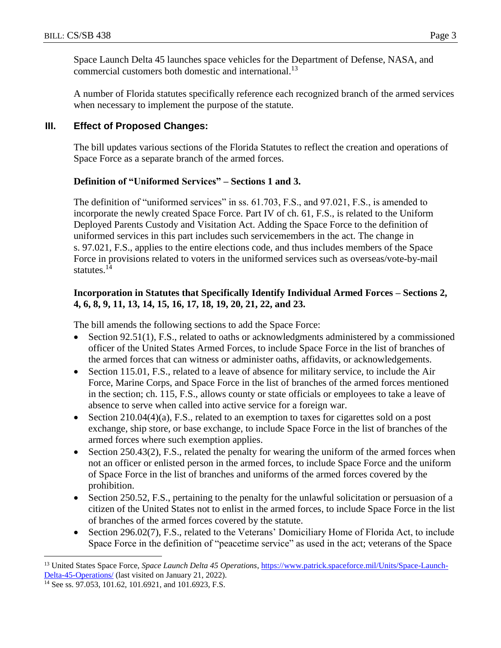Space Launch Delta 45 launches space vehicles for the Department of Defense, NASA, and commercial customers both domestic and international.<sup>13</sup>

A number of Florida statutes specifically reference each recognized branch of the armed services when necessary to implement the purpose of the statute.

# **III. Effect of Proposed Changes:**

The bill updates various sections of the Florida Statutes to reflect the creation and operations of Space Force as a separate branch of the armed forces.

# **Definition of "Uniformed Services" – Sections 1 and 3.**

The definition of "uniformed services" in ss. 61.703, F.S., and 97.021, F.S., is amended to incorporate the newly created Space Force. Part IV of ch. 61, F.S., is related to the Uniform Deployed Parents Custody and Visitation Act. Adding the Space Force to the definition of uniformed services in this part includes such servicemembers in the act. The change in s. 97.021, F.S., applies to the entire elections code, and thus includes members of the Space Force in provisions related to voters in the uniformed services such as overseas/vote-by-mail statutes.<sup>14</sup>

# **Incorporation in Statutes that Specifically Identify Individual Armed Forces – Sections 2, 4, 6, 8, 9, 11, 13, 14, 15, 16, 17, 18, 19, 20, 21, 22, and 23.**

The bill amends the following sections to add the Space Force:

- Section 92.51(1), F.S., related to oaths or acknowledgments administered by a commissioned officer of the United States Armed Forces, to include Space Force in the list of branches of the armed forces that can witness or administer oaths, affidavits, or acknowledgements.
- Section 115.01, F.S., related to a leave of absence for military service, to include the Air Force, Marine Corps, and Space Force in the list of branches of the armed forces mentioned in the section; ch. 115, F.S., allows county or state officials or employees to take a leave of absence to serve when called into active service for a foreign war.
- Section  $210.04(4)(a)$ , F.S., related to an exemption to taxes for cigarettes sold on a post exchange, ship store, or base exchange, to include Space Force in the list of branches of the armed forces where such exemption applies.
- Section  $250.43(2)$ , F.S., related the penalty for wearing the uniform of the armed forces when not an officer or enlisted person in the armed forces, to include Space Force and the uniform of Space Force in the list of branches and uniforms of the armed forces covered by the prohibition.
- Section 250.52, F.S., pertaining to the penalty for the unlawful solicitation or persuasion of a citizen of the United States not to enlist in the armed forces, to include Space Force in the list of branches of the armed forces covered by the statute.
- Section 296.02(7), F.S., related to the Veterans' Domiciliary Home of Florida Act, to include Space Force in the definition of "peacetime service" as used in the act; veterans of the Space

 $\overline{a}$ <sup>13</sup> United States Space Force, *Space Launch Delta 45 Operations*, [https://www.patrick.spaceforce.mil/Units/Space-Launch-](https://www.patrick.spaceforce.mil/Units/Space-Launch-Delta-45-Operations/)[Delta-45-Operations/](https://www.patrick.spaceforce.mil/Units/Space-Launch-Delta-45-Operations/) (last visited on January 21, 2022).

<sup>&</sup>lt;sup>14</sup> See ss. 97.053, 101.62, 101.6921, and 101.6923, F.S.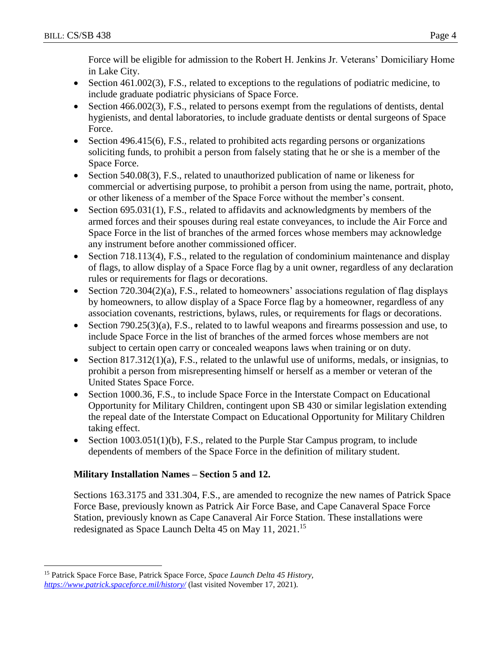Force will be eligible for admission to the Robert H. Jenkins Jr. Veterans' Domiciliary Home in Lake City.

- Section 461.002(3), F.S., related to exceptions to the regulations of podiatric medicine, to include graduate podiatric physicians of Space Force.
- Section 466.002(3), F.S., related to persons exempt from the regulations of dentists, dental hygienists, and dental laboratories, to include graduate dentists or dental surgeons of Space Force.
- $\bullet$  Section 496.415(6), F.S., related to prohibited acts regarding persons or organizations soliciting funds, to prohibit a person from falsely stating that he or she is a member of the Space Force.
- Section 540.08(3), F.S., related to unauthorized publication of name or likeness for commercial or advertising purpose, to prohibit a person from using the name, portrait, photo, or other likeness of a member of the Space Force without the member's consent.
- $\bullet$  Section 695.031(1), F.S., related to affidavits and acknowledgments by members of the armed forces and their spouses during real estate conveyances, to include the Air Force and Space Force in the list of branches of the armed forces whose members may acknowledge any instrument before another commissioned officer.
- Section 718.113(4), F.S., related to the regulation of condominium maintenance and display of flags, to allow display of a Space Force flag by a unit owner, regardless of any declaration rules or requirements for flags or decorations.
- Section  $720.304(2)(a)$ , F.S., related to homeowners' associations regulation of flag displays by homeowners, to allow display of a Space Force flag by a homeowner, regardless of any association covenants, restrictions, bylaws, rules, or requirements for flags or decorations.
- Section 790.25(3)(a), F.S., related to to lawful weapons and firearms possession and use, to include Space Force in the list of branches of the armed forces whose members are not subject to certain open carry or concealed weapons laws when training or on duty.
- Section  $817.312(1)(a)$ , F.S., related to the unlawful use of uniforms, medals, or insignias, to prohibit a person from misrepresenting himself or herself as a member or veteran of the United States Space Force.
- Section 1000.36, F.S., to include Space Force in the Interstate Compact on Educational Opportunity for Military Children, contingent upon SB 430 or similar legislation extending the repeal date of the Interstate Compact on Educational Opportunity for Military Children taking effect.
- Section  $1003.051(1)(b)$ , F.S., related to the Purple Star Campus program, to include dependents of members of the Space Force in the definition of military student.

# **Military Installation Names – Section 5 and 12.**

Sections 163.3175 and 331.304, F.S., are amended to recognize the new names of Patrick Space Force Base, previously known as Patrick Air Force Base, and Cape Canaveral Space Force Station, previously known as Cape Canaveral Air Force Station. These installations were redesignated as Space Launch Delta 45 on May 11, 2021.<sup>15</sup>

 $\overline{a}$ 

<sup>15</sup> Patrick Space Force Base, Patrick Space Force, *Space Launch Delta 45 History, <https://www.patrick.spaceforce.mil/history/>* (last visited November 17, 2021).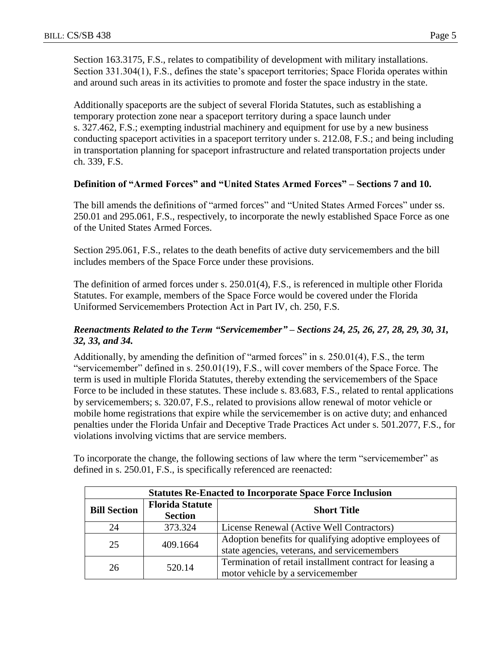Section 163.3175, F.S., relates to compatibility of development with military installations. Section 331.304(1), F.S., defines the state's spaceport territories; Space Florida operates within and around such areas in its activities to promote and foster the space industry in the state.

Additionally spaceports are the subject of several Florida Statutes, such as establishing a temporary protection zone near a spaceport territory during a space launch under s. 327.462, F.S.; exempting industrial machinery and equipment for use by a new business conducting spaceport activities in a spaceport territory under s. 212.08, F.S.; and being including in transportation planning for spaceport infrastructure and related transportation projects under ch. 339, F.S.

#### **Definition of "Armed Forces" and "United States Armed Forces" – Sections 7 and 10.**

The bill amends the definitions of "armed forces" and "United States Armed Forces" under ss. 250.01 and 295.061, F.S., respectively, to incorporate the newly established Space Force as one of the United States Armed Forces.

Section 295.061, F.S., relates to the death benefits of active duty servicemembers and the bill includes members of the Space Force under these provisions.

The definition of armed forces under s. 250.01(4), F.S., is referenced in multiple other Florida Statutes. For example, members of the Space Force would be covered under the Florida Uniformed Servicemembers Protection Act in Part IV, ch. 250, F.S.

#### *Reenactments Related to the Term "Servicemember" – Sections 24, 25, 26, 27, 28, 29, 30, 31, 32, 33, and 34.*

Additionally, by amending the definition of "armed forces" in s. 250.01(4), F.S., the term "servicemember" defined in s. 250.01(19), F.S., will cover members of the Space Force. The term is used in multiple Florida Statutes, thereby extending the servicemembers of the Space Force to be included in these statutes. These include s. 83.683, F.S., related to rental applications by servicemembers; s. 320.07, F.S., related to provisions allow renewal of motor vehicle or mobile home registrations that expire while the servicemember is on active duty; and enhanced penalties under the Florida Unfair and Deceptive Trade Practices Act under s. 501.2077, F.S., for violations involving victims that are service members.

To incorporate the change, the following sections of law where the term "servicemember" as defined in s. 250.01, F.S., is specifically referenced are reenacted:

| <b>Statutes Re-Enacted to Incorporate Space Force Inclusion</b> |                        |                                                          |  |  |  |
|-----------------------------------------------------------------|------------------------|----------------------------------------------------------|--|--|--|
| <b>Bill Section</b>                                             | <b>Florida Statute</b> | <b>Short Title</b>                                       |  |  |  |
|                                                                 | <b>Section</b>         |                                                          |  |  |  |
| 24                                                              | 373.324                | License Renewal (Active Well Contractors)                |  |  |  |
| 25                                                              | 409.1664               | Adoption benefits for qualifying adoptive employees of   |  |  |  |
|                                                                 |                        | state agencies, veterans, and servicemembers             |  |  |  |
| 26                                                              | 520.14                 | Termination of retail installment contract for leasing a |  |  |  |
|                                                                 |                        | motor vehicle by a servicemember                         |  |  |  |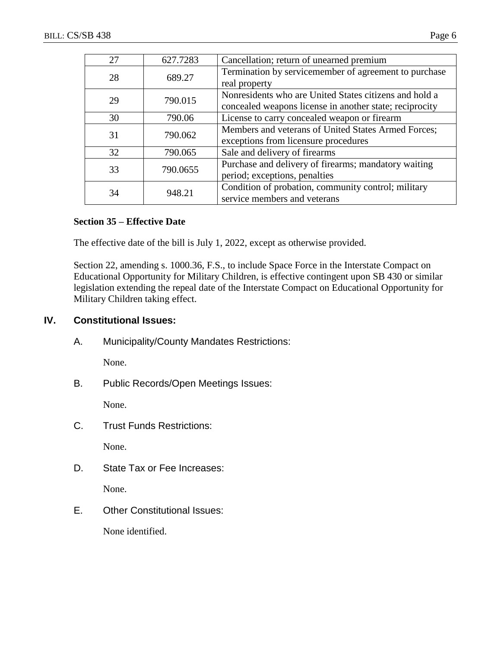| 27 | 627.7283 | Cancellation; return of unearned premium                |
|----|----------|---------------------------------------------------------|
| 28 | 689.27   | Termination by servicemember of agreement to purchase   |
|    |          | real property                                           |
| 29 | 790.015  | Nonresidents who are United States citizens and hold a  |
|    |          | concealed weapons license in another state; reciprocity |
| 30 | 790.06   | License to carry concealed weapon or firearm            |
| 31 |          | Members and veterans of United States Armed Forces;     |
|    | 790.062  | exceptions from licensure procedures                    |
| 32 | 790.065  | Sale and delivery of firearms                           |
| 33 |          | Purchase and delivery of firearms; mandatory waiting    |
|    | 790.0655 | period; exceptions, penalties                           |
| 34 |          | Condition of probation, community control; military     |
|    | 948.21   | service members and veterans                            |

#### **Section 35 – Effective Date**

The effective date of the bill is July 1, 2022, except as otherwise provided.

Section 22, amending s. 1000.36, F.S., to include Space Force in the Interstate Compact on Educational Opportunity for Military Children, is effective contingent upon SB 430 or similar legislation extending the repeal date of the Interstate Compact on Educational Opportunity for Military Children taking effect.

# **IV. Constitutional Issues:**

A. Municipality/County Mandates Restrictions:

None.

B. Public Records/Open Meetings Issues:

None.

C. Trust Funds Restrictions:

None.

D. State Tax or Fee Increases:

None.

E. Other Constitutional Issues:

None identified.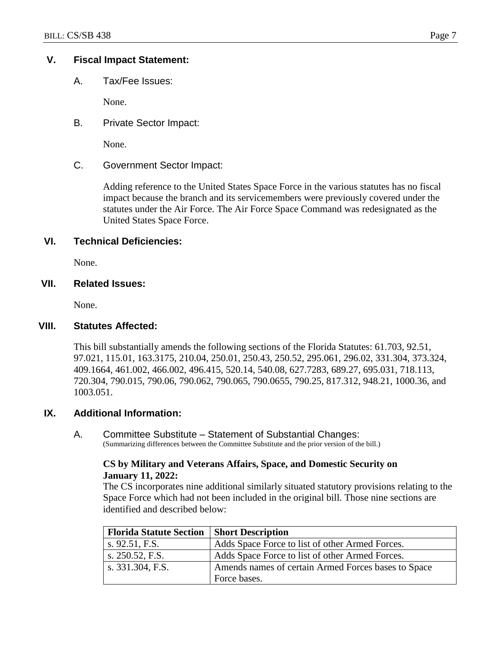#### **V. Fiscal Impact Statement:**

A. Tax/Fee Issues:

None.

B. Private Sector Impact:

None.

C. Government Sector Impact:

Adding reference to the United States Space Force in the various statutes has no fiscal impact because the branch and its servicemembers were previously covered under the statutes under the Air Force. The Air Force Space Command was redesignated as the United States Space Force.

#### **VI. Technical Deficiencies:**

None.

#### **VII. Related Issues:**

None.

#### **VIII. Statutes Affected:**

This bill substantially amends the following sections of the Florida Statutes: 61.703, 92.51, 97.021, 115.01, 163.3175, 210.04, 250.01, 250.43, 250.52, 295.061, 296.02, 331.304, 373.324, 409.1664, 461.002, 466.002, 496.415, 520.14, 540.08, 627.7283, 689.27, 695.031, 718.113, 720.304, 790.015, 790.06, 790.062, 790.065, 790.0655, 790.25, 817.312, 948.21, 1000.36, and 1003.051.

#### **IX. Additional Information:**

A. Committee Substitute – Statement of Substantial Changes: (Summarizing differences between the Committee Substitute and the prior version of the bill.)

#### **CS by Military and Veterans Affairs, Space, and Domestic Security on January 11, 2022:**

The CS incorporates nine additional similarly situated statutory provisions relating to the Space Force which had not been included in the original bill. Those nine sections are identified and described below:

| <b>Florida Statute Section</b> | <b>Short Description</b>                            |
|--------------------------------|-----------------------------------------------------|
| s. $92.51, F.S.$               | Adds Space Force to list of other Armed Forces.     |
| s. $250.52$ , F.S.             | Adds Space Force to list of other Armed Forces.     |
| s. 331.304, F.S.               | Amends names of certain Armed Forces bases to Space |
|                                | Force bases.                                        |